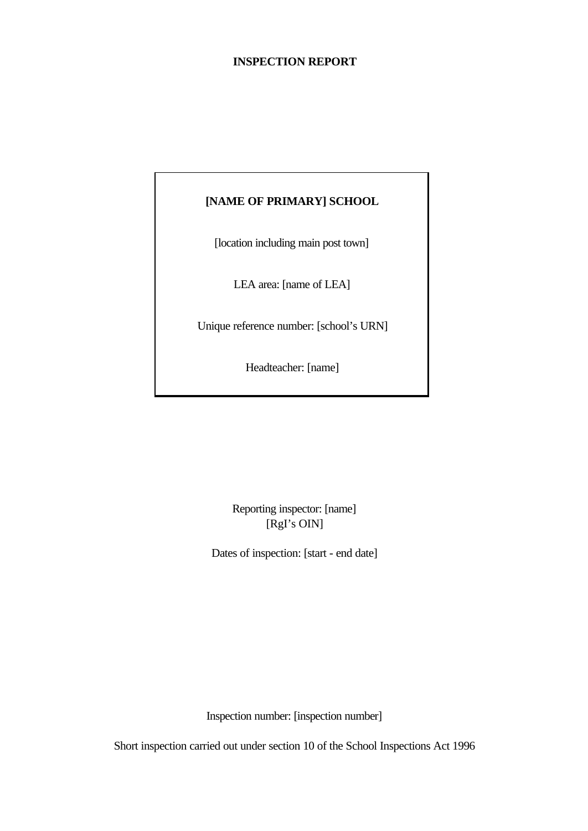## **INSPECTION REPORT**

## **[NAME OF PRIMARY] SCHOOL**

[location including main post town]

LEA area: [name of LEA]

Unique reference number: [school's URN]

Headteacher: [name]

Reporting inspector: [name] [RgI's OIN]

Dates of inspection: [start - end date]

Inspection number: [inspection number]

Short inspection carried out under section 10 of the School Inspections Act 1996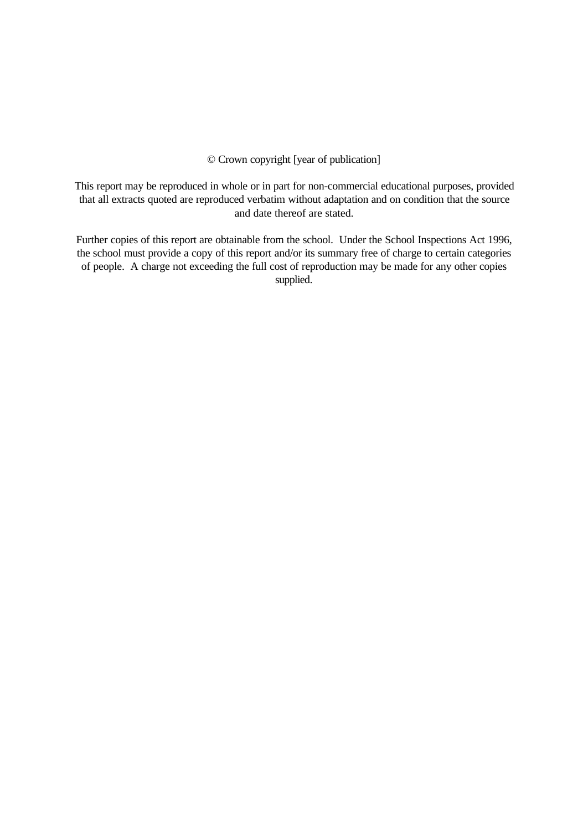© Crown copyright [year of publication]

This report may be reproduced in whole or in part for non-commercial educational purposes, provided that all extracts quoted are reproduced verbatim without adaptation and on condition that the source and date thereof are stated.

Further copies of this report are obtainable from the school. Under the School Inspections Act 1996, the school must provide a copy of this report and/or its summary free of charge to certain categories of people. A charge not exceeding the full cost of reproduction may be made for any other copies supplied.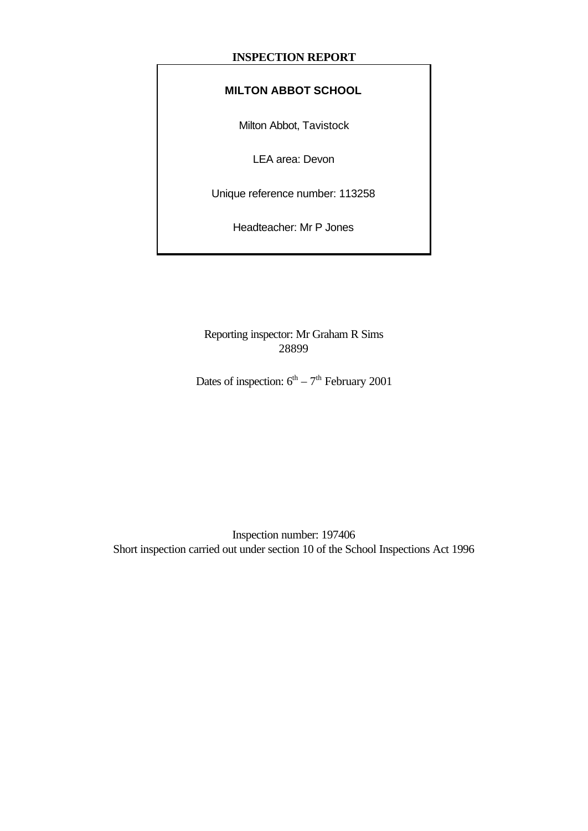## **INSPECTION REPORT**

## **MILTON ABBOT SCHOOL**

Milton Abbot, Tavistock

LEA area: Devon

Unique reference number: 113258

Headteacher: Mr P Jones

Reporting inspector: Mr Graham R Sims 28899

Dates of inspection:  $6^{th} - 7^{th}$  February 2001

Inspection number: 197406 Short inspection carried out under section 10 of the School Inspections Act 1996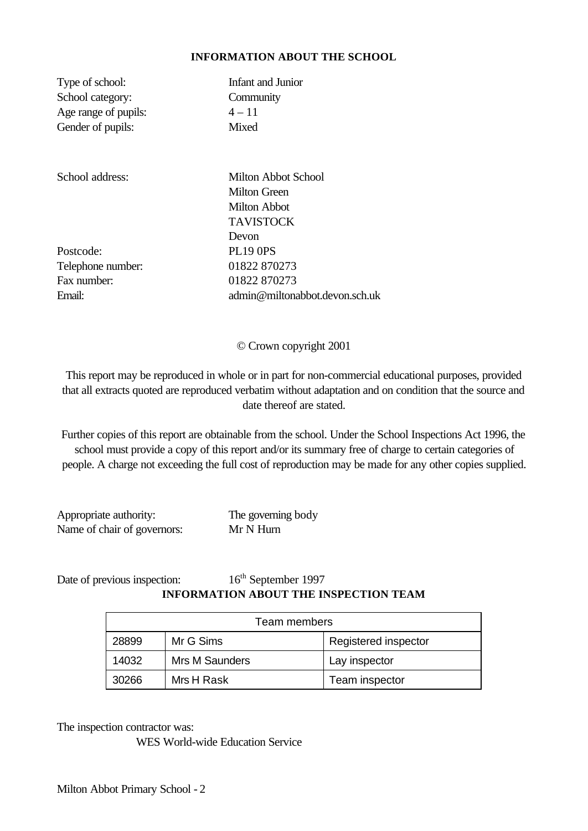#### **INFORMATION ABOUT THE SCHOOL**

| Type of school:      | Infant and Junior |
|----------------------|-------------------|
| School category:     | Community         |
| Age range of pupils: | $4 - 11$          |
| Gender of pupils:    | Mixed             |
|                      |                   |

Postcode: PL19 0PS Telephone number: 01822 870273 Fax number: 01822 870273

School address: Milton Abbot School Milton Green Milton Abbot TAVISTOCK Devon Email: admin@miltonabbot.devon.sch.uk

© Crown copyright 2001

This report may be reproduced in whole or in part for non-commercial educational purposes, provided that all extracts quoted are reproduced verbatim without adaptation and on condition that the source and date thereof are stated.

Further copies of this report are obtainable from the school. Under the School Inspections Act 1996, the school must provide a copy of this report and/or its summary free of charge to certain categories of people. A charge not exceeding the full cost of reproduction may be made for any other copies supplied.

Appropriate authority: The governing body Name of chair of governors: Mr N Hurn

## Date of previous inspection:  $16^{th}$  September 1997 **INFORMATION ABOUT THE INSPECTION TEAM**

| Team members |                |                      |
|--------------|----------------|----------------------|
| 28899        | Mr G Sims      | Registered inspector |
| 14032        | Mrs M Saunders | Lay inspector        |
| 30266        | Mrs H Rask     | Team inspector       |

The inspection contractor was:

WES World-wide Education Service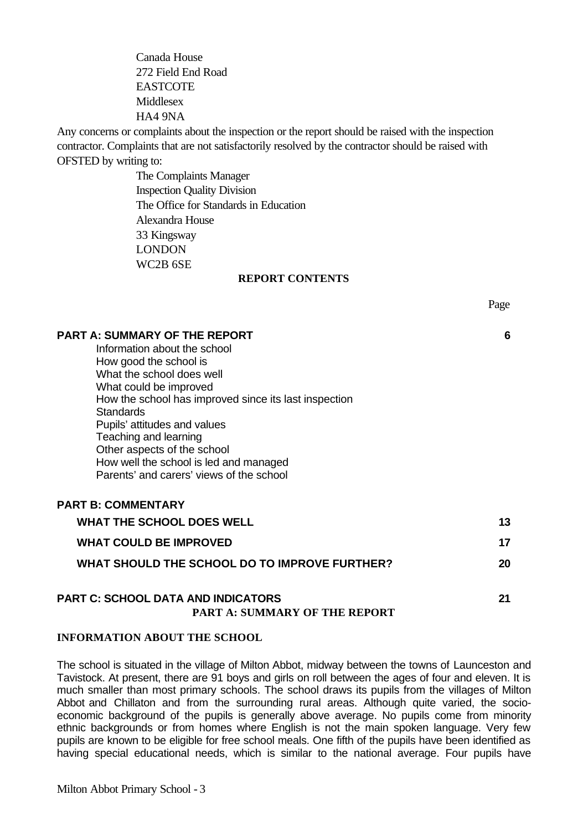Canada House 272 Field End Road **EASTCOTE** Middlesex HA4 9NA

Any concerns or complaints about the inspection or the report should be raised with the inspection contractor. Complaints that are not satisfactorily resolved by the contractor should be raised with OFSTED by writing to:

> The Complaints Manager Inspection Quality Division The Office for Standards in Education Alexandra House 33 Kingsway LONDON WC2B 6SE

#### **REPORT CONTENTS**

#### **PART A: SUMMARY OF THE REPORT 6**

**PART B: COMMENTARY**

Information about the school How good the school is What the school does well What could be improved How the school has improved since its last inspection **Standards** Pupils' attitudes and values Teaching and learning Other aspects of the school How well the school is led and managed Parents' and carers' views of the school

| <b>PART B: COMMENTARY</b>                     |    |
|-----------------------------------------------|----|
| <b>WHAT THE SCHOOL DOES WELL</b>              | 13 |
| <b>WHAT COULD BE IMPROVED</b>                 | 17 |
| WHAT SHOULD THE SCHOOL DO TO IMPROVE FURTHER? | 20 |
|                                               |    |

## **PART C: SCHOOL DATA AND INDICATORS 21 PART A: SUMMARY OF THE REPORT**

#### **INFORMATION ABOUT THE SCHOOL**

The school is situated in the village of Milton Abbot, midway between the towns of Launceston and Tavistock. At present, there are 91 boys and girls on roll between the ages of four and eleven. It is much smaller than most primary schools. The school draws its pupils from the villages of Milton Abbot and Chillaton and from the surrounding rural areas. Although quite varied, the socioeconomic background of the pupils is generally above average. No pupils come from minority ethnic backgrounds or from homes where English is not the main spoken language. Very few pupils are known to be eligible for free school meals. One fifth of the pupils have been identified as having special educational needs, which is similar to the national average. Four pupils have

Page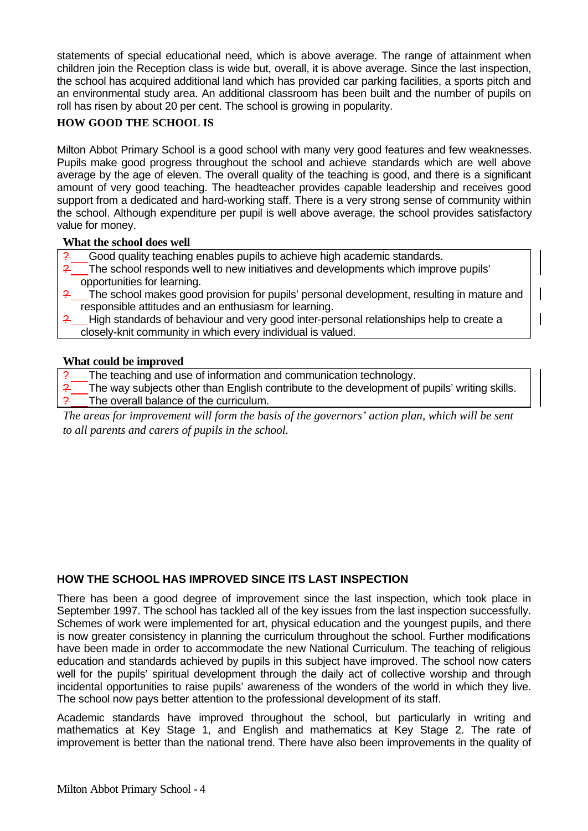statements of special educational need, which is above average. The range of attainment when children join the Reception class is wide but, overall, it is above average. Since the last inspection, the school has acquired additional land which has provided car parking facilities, a sports pitch and an environmental study area. An additional classroom has been built and the number of pupils on roll has risen by about 20 per cent. The school is growing in popularity.

## **HOW GOOD THE SCHOOL IS**

Milton Abbot Primary School is a good school with many very good features and few weaknesses. Pupils make good progress throughout the school and achieve standards which are well above average by the age of eleven. The overall quality of the teaching is good, and there is a significant amount of very good teaching. The headteacher provides capable leadership and receives good support from a dedicated and hard-working staff. There is a very strong sense of community within the school. Although expenditure per pupil is well above average, the school provides satisfactory value for money.

### **What the school does well**

- Good quality teaching enables pupils to achieve high academic standards.
- ? The school responds well to new initiatives and developments which improve pupils' opportunities for learning.
- The school makes good provision for pupils' personal development, resulting in mature and responsible attitudes and an enthusiasm for learning.
- High standards of behaviour and very good inter-personal relationships help to create a closely-knit community in which every individual is valued.

## **What could be improved**

- The teaching and use of information and communication technology.
- The way subjects other than English contribute to the development of pupils' writing skills. The overall balance of the curriculum.

*The areas for improvement will form the basis of the governors' action plan, which will be sent to all parents and carers of pupils in the school.*

## **HOW THE SCHOOL HAS IMPROVED SINCE ITS LAST INSPECTION**

There has been a good degree of improvement since the last inspection, which took place in September 1997. The school has tackled all of the key issues from the last inspection successfully. Schemes of work were implemented for art, physical education and the youngest pupils, and there is now greater consistency in planning the curriculum throughout the school. Further modifications have been made in order to accommodate the new National Curriculum. The teaching of religious education and standards achieved by pupils in this subject have improved. The school now caters well for the pupils' spiritual development through the daily act of collective worship and through incidental opportunities to raise pupils' awareness of the wonders of the world in which they live. The school now pays better attention to the professional development of its staff.

Academic standards have improved throughout the school, but particularly in writing and mathematics at Key Stage 1, and English and mathematics at Key Stage 2. The rate of improvement is better than the national trend. There have also been improvements in the quality of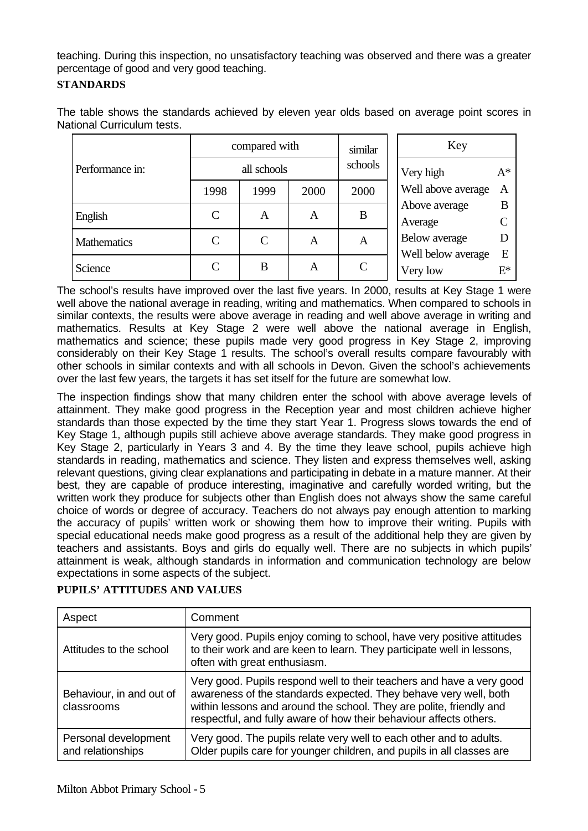teaching. During this inspection, no unsatisfactory teaching was observed and there was a greater percentage of good and very good teaching.

### **STANDARDS**

The table shows the standards achieved by eleven year olds based on average point scores in National Curriculum tests.

|                    | compared with |      |      | similar<br>schools          | Key                            |            |
|--------------------|---------------|------|------|-----------------------------|--------------------------------|------------|
| Performance in:    | all schools   |      |      |                             | Very high                      | $A^*$      |
|                    | 1998          | 1999 | 2000 | 2000                        | Well above average             | A          |
| English            | $\mathsf{C}$  | A    | A    | B                           | Above average<br>Average       | B          |
| <b>Mathematics</b> | C             | C    | A    | A                           | Below average                  |            |
| Science            | $\mathsf{C}$  | B    | A    | $\mathcal{C}_{\mathcal{C}}$ | Well below average<br>Very low | E<br>$E^*$ |

The school's results have improved over the last five years. In 2000, results at Key Stage 1 were well above the national average in reading, writing and mathematics. When compared to schools in similar contexts, the results were above average in reading and well above average in writing and mathematics. Results at Key Stage 2 were well above the national average in English, mathematics and science; these pupils made very good progress in Key Stage 2, improving considerably on their Key Stage 1 results. The school's overall results compare favourably with other schools in similar contexts and with all schools in Devon. Given the school's achievements over the last few years, the targets it has set itself for the future are somewhat low.

The inspection findings show that many children enter the school with above average levels of attainment. They make good progress in the Reception year and most children achieve higher standards than those expected by the time they start Year 1. Progress slows towards the end of Key Stage 1, although pupils still achieve above average standards. They make good progress in Key Stage 2, particularly in Years 3 and 4. By the time they leave school, pupils achieve high standards in reading, mathematics and science. They listen and express themselves well, asking relevant questions, giving clear explanations and participating in debate in a mature manner. At their best, they are capable of produce interesting, imaginative and carefully worded writing, but the written work they produce for subjects other than English does not always show the same careful choice of words or degree of accuracy. Teachers do not always pay enough attention to marking the accuracy of pupils' written work or showing them how to improve their writing. Pupils with special educational needs make good progress as a result of the additional help they are given by teachers and assistants. Boys and girls do equally well. There are no subjects in which pupils' attainment is weak, although standards in information and communication technology are below expectations in some aspects of the subject.

| Aspect                                                                                                                                                                                                      | Comment                                                                                                                                                                                                                                                                                |
|-------------------------------------------------------------------------------------------------------------------------------------------------------------------------------------------------------------|----------------------------------------------------------------------------------------------------------------------------------------------------------------------------------------------------------------------------------------------------------------------------------------|
| Very good. Pupils enjoy coming to school, have very positive attitudes<br>to their work and are keen to learn. They participate well in lessons,<br>Attitudes to the school<br>often with great enthusiasm. |                                                                                                                                                                                                                                                                                        |
| Behaviour, in and out of<br>classrooms                                                                                                                                                                      | Very good. Pupils respond well to their teachers and have a very good<br>awareness of the standards expected. They behave very well, both<br>within lessons and around the school. They are polite, friendly and<br>respectful, and fully aware of how their behaviour affects others. |
| Personal development<br>and relationships                                                                                                                                                                   | Very good. The pupils relate very well to each other and to adults.<br>Older pupils care for younger children, and pupils in all classes are                                                                                                                                           |

## **PUPILS' ATTITUDES AND VALUES**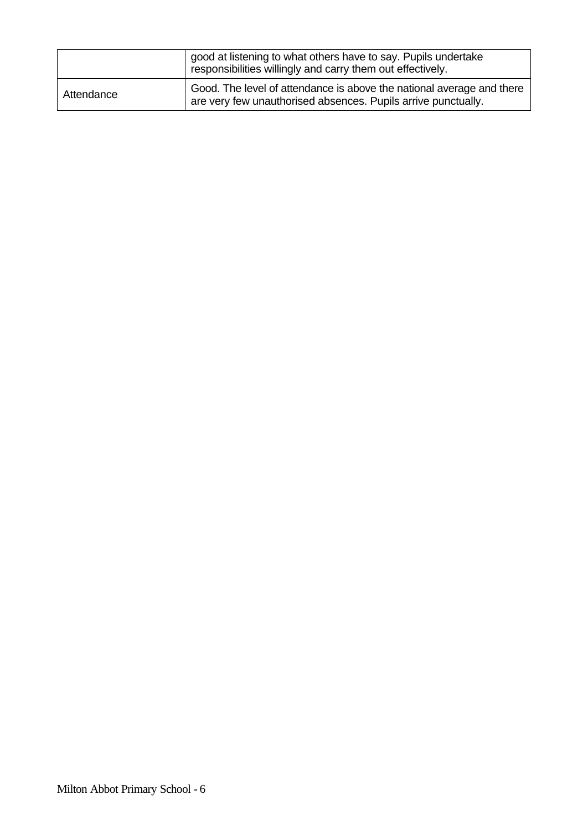| good at listening to what others have to say. Pupils undertake<br>responsibilities willingly and carry them out effectively. |                                                                                                                                        |
|------------------------------------------------------------------------------------------------------------------------------|----------------------------------------------------------------------------------------------------------------------------------------|
| Attendance                                                                                                                   | Good. The level of attendance is above the national average and there<br>are very few unauthorised absences. Pupils arrive punctually. |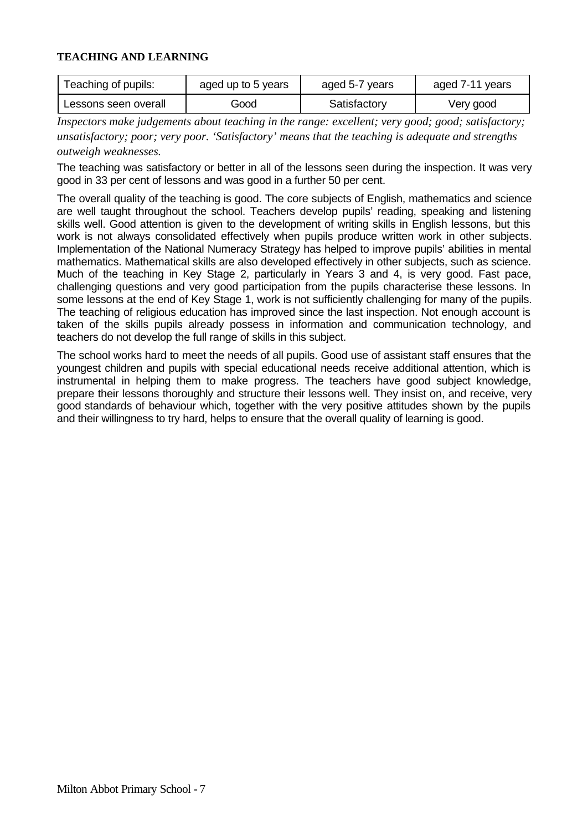### **TEACHING AND LEARNING**

| Teaching of pupils:  | aged up to 5 years | aged 5-7 years | aged 7-11 years |
|----------------------|--------------------|----------------|-----------------|
| Lessons seen overall | Good               | Satisfactory   | Very good       |

*Inspectors make judgements about teaching in the range: excellent; very good; good; satisfactory; unsatisfactory; poor; very poor. 'Satisfactory' means that the teaching is adequate and strengths outweigh weaknesses.*

The teaching was satisfactory or better in all of the lessons seen during the inspection. It was very good in 33 per cent of lessons and was good in a further 50 per cent.

The overall quality of the teaching is good. The core subjects of English, mathematics and science are well taught throughout the school. Teachers develop pupils' reading, speaking and listening skills well. Good attention is given to the development of writing skills in English lessons, but this work is not always consolidated effectively when pupils produce written work in other subjects. Implementation of the National Numeracy Strategy has helped to improve pupils' abilities in mental mathematics. Mathematical skills are also developed effectively in other subjects, such as science. Much of the teaching in Key Stage 2, particularly in Years 3 and 4, is very good. Fast pace, challenging questions and very good participation from the pupils characterise these lessons. In some lessons at the end of Key Stage 1, work is not sufficiently challenging for many of the pupils. The teaching of religious education has improved since the last inspection. Not enough account is taken of the skills pupils already possess in information and communication technology, and teachers do not develop the full range of skills in this subject.

The school works hard to meet the needs of all pupils. Good use of assistant staff ensures that the youngest children and pupils with special educational needs receive additional attention, which is instrumental in helping them to make progress. The teachers have good subject knowledge, prepare their lessons thoroughly and structure their lessons well. They insist on, and receive, very good standards of behaviour which, together with the very positive attitudes shown by the pupils and their willingness to try hard, helps to ensure that the overall quality of learning is good.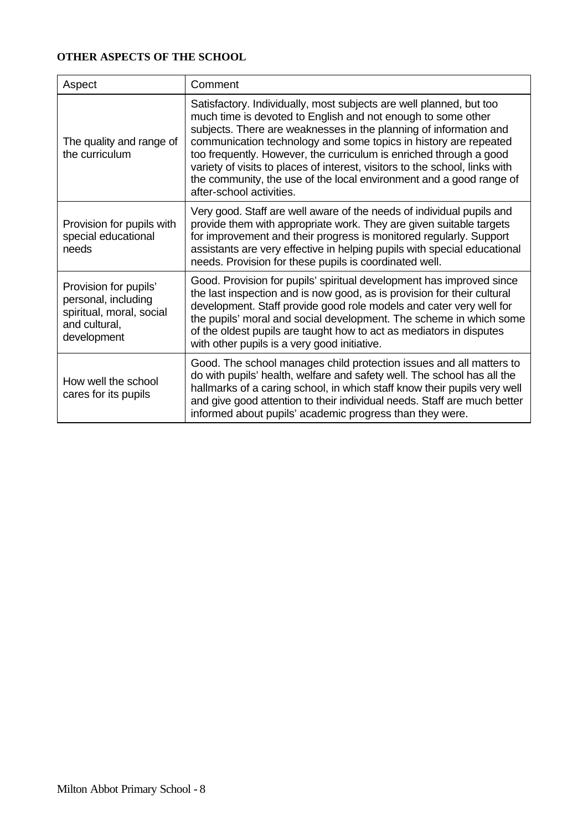## **OTHER ASPECTS OF THE SCHOOL**

| Aspect                                                                                                   | Comment                                                                                                                                                                                                                                                                                                                                                                                                                                                                                                                              |
|----------------------------------------------------------------------------------------------------------|--------------------------------------------------------------------------------------------------------------------------------------------------------------------------------------------------------------------------------------------------------------------------------------------------------------------------------------------------------------------------------------------------------------------------------------------------------------------------------------------------------------------------------------|
| The quality and range of<br>the curriculum                                                               | Satisfactory. Individually, most subjects are well planned, but too<br>much time is devoted to English and not enough to some other<br>subjects. There are weaknesses in the planning of information and<br>communication technology and some topics in history are repeated<br>too frequently. However, the curriculum is enriched through a good<br>variety of visits to places of interest, visitors to the school, links with<br>the community, the use of the local environment and a good range of<br>after-school activities. |
| Provision for pupils with<br>special educational<br>needs                                                | Very good. Staff are well aware of the needs of individual pupils and<br>provide them with appropriate work. They are given suitable targets<br>for improvement and their progress is monitored regularly. Support<br>assistants are very effective in helping pupils with special educational<br>needs. Provision for these pupils is coordinated well.                                                                                                                                                                             |
| Provision for pupils'<br>personal, including<br>spiritual, moral, social<br>and cultural,<br>development | Good. Provision for pupils' spiritual development has improved since<br>the last inspection and is now good, as is provision for their cultural<br>development. Staff provide good role models and cater very well for<br>the pupils' moral and social development. The scheme in which some<br>of the oldest pupils are taught how to act as mediators in disputes<br>with other pupils is a very good initiative.                                                                                                                  |
| How well the school<br>cares for its pupils                                                              | Good. The school manages child protection issues and all matters to<br>do with pupils' health, welfare and safety well. The school has all the<br>hallmarks of a caring school, in which staff know their pupils very well<br>and give good attention to their individual needs. Staff are much better<br>informed about pupils' academic progress than they were.                                                                                                                                                                   |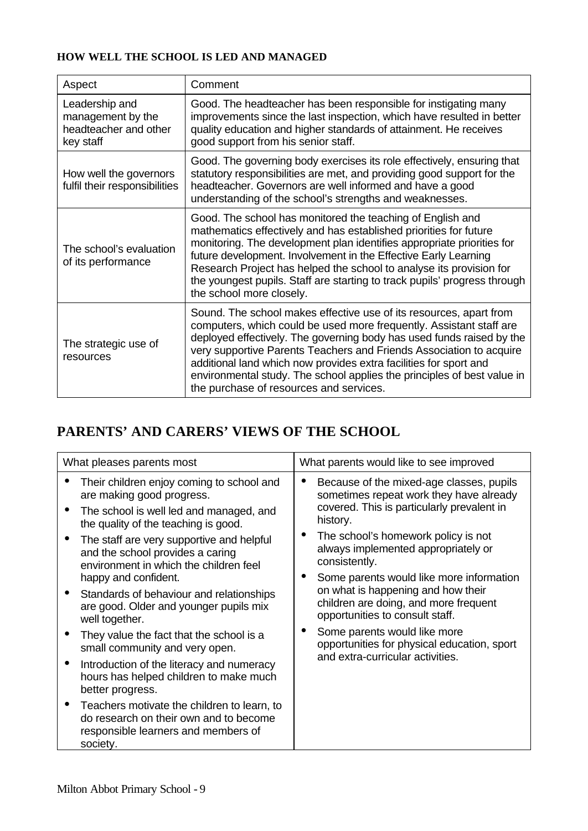## **HOW WELL THE SCHOOL IS LED AND MANAGED**

| Aspect                                                                    | Comment                                                                                                                                                                                                                                                                                                                                                                                                                                                                              |
|---------------------------------------------------------------------------|--------------------------------------------------------------------------------------------------------------------------------------------------------------------------------------------------------------------------------------------------------------------------------------------------------------------------------------------------------------------------------------------------------------------------------------------------------------------------------------|
| Leadership and<br>management by the<br>headteacher and other<br>key staff | Good. The headteacher has been responsible for instigating many<br>improvements since the last inspection, which have resulted in better<br>quality education and higher standards of attainment. He receives<br>good support from his senior staff.                                                                                                                                                                                                                                 |
| How well the governors<br>fulfil their responsibilities                   | Good. The governing body exercises its role effectively, ensuring that<br>statutory responsibilities are met, and providing good support for the<br>headteacher. Governors are well informed and have a good<br>understanding of the school's strengths and weaknesses.                                                                                                                                                                                                              |
| The school's evaluation<br>of its performance                             | Good. The school has monitored the teaching of English and<br>mathematics effectively and has established priorities for future<br>monitoring. The development plan identifies appropriate priorities for<br>future development. Involvement in the Effective Early Learning<br>Research Project has helped the school to analyse its provision for<br>the youngest pupils. Staff are starting to track pupils' progress through<br>the school more closely.                         |
| The strategic use of<br>resources                                         | Sound. The school makes effective use of its resources, apart from<br>computers, which could be used more frequently. Assistant staff are<br>deployed effectively. The governing body has used funds raised by the<br>very supportive Parents Teachers and Friends Association to acquire<br>additional land which now provides extra facilities for sport and<br>environmental study. The school applies the principles of best value in<br>the purchase of resources and services. |

# **PARENTS' AND CARERS' VIEWS OF THE SCHOOL**

| What pleases parents most |                                                                                                                                          | What parents would like to see improved                                                                                                   |                                                                                     |
|---------------------------|------------------------------------------------------------------------------------------------------------------------------------------|-------------------------------------------------------------------------------------------------------------------------------------------|-------------------------------------------------------------------------------------|
|                           | Their children enjoy coming to school and<br>are making good progress.                                                                   | $\bullet$                                                                                                                                 | Because of the mixed-age classes, pupils<br>sometimes repeat work they have already |
|                           | The school is well led and managed, and<br>the quality of the teaching is good.                                                          |                                                                                                                                           | covered. This is particularly prevalent in<br>history.                              |
|                           | The staff are very supportive and helpful<br>and the school provides a caring<br>environment in which the children feel                  | The school's homework policy is not<br>$\bullet$<br>always implemented appropriately or<br>consistently.                                  |                                                                                     |
|                           | happy and confident.                                                                                                                     |                                                                                                                                           | Some parents would like more information                                            |
|                           | Standards of behaviour and relationships<br>are good. Older and younger pupils mix<br>well together.                                     | on what is happening and how their<br>opportunities to consult staff.<br>Some parents would like more<br>and extra-curricular activities. | children are doing, and more frequent                                               |
|                           | They value the fact that the school is a<br>small community and very open.                                                               |                                                                                                                                           | opportunities for physical education, sport                                         |
|                           | Introduction of the literacy and numeracy<br>hours has helped children to make much<br>better progress.                                  |                                                                                                                                           |                                                                                     |
|                           | Teachers motivate the children to learn, to<br>do research on their own and to become<br>responsible learners and members of<br>society. |                                                                                                                                           |                                                                                     |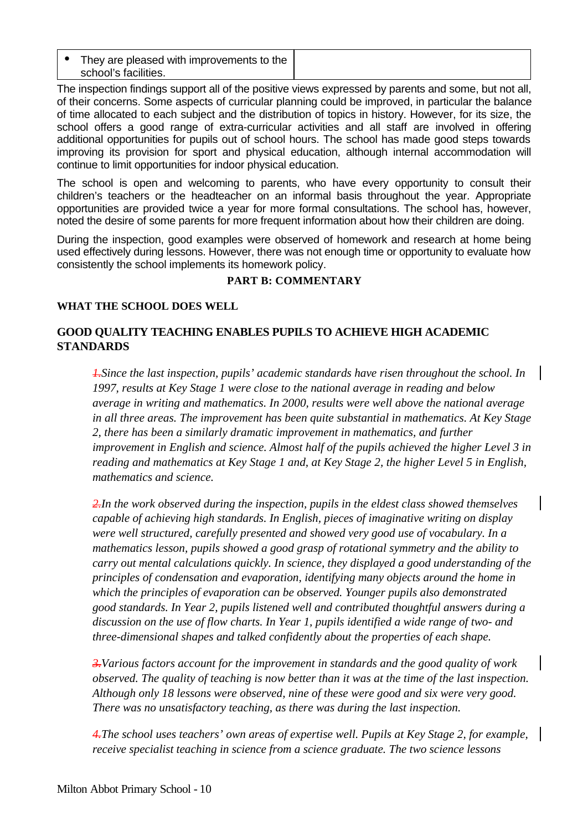| They are pleased with improvements to the<br>school's facilities. |  |
|-------------------------------------------------------------------|--|
|-------------------------------------------------------------------|--|

The inspection findings support all of the positive views expressed by parents and some, but not all, of their concerns. Some aspects of curricular planning could be improved, in particular the balance of time allocated to each subject and the distribution of topics in history. However, for its size, the school offers a good range of extra-curricular activities and all staff are involved in offering additional opportunities for pupils out of school hours. The school has made good steps towards improving its provision for sport and physical education, although internal accommodation will continue to limit opportunities for indoor physical education.

The school is open and welcoming to parents, who have every opportunity to consult their children's teachers or the headteacher on an informal basis throughout the year. Appropriate opportunities are provided twice a year for more formal consultations. The school has, however, noted the desire of some parents for more frequent information about how their children are doing.

During the inspection, good examples were observed of homework and research at home being used effectively during lessons. However, there was not enough time or opportunity to evaluate how consistently the school implements its homework policy.

### **PART B: COMMENTARY**

### **WHAT THE SCHOOL DOES WELL**

## **GOOD QUALITY TEACHING ENABLES PUPILS TO ACHIEVE HIGH ACADEMIC STANDARDS**

*1.Since the last inspection, pupils' academic standards have risen throughout the school. In 1997, results at Key Stage 1 were close to the national average in reading and below average in writing and mathematics. In 2000, results were well above the national average in all three areas. The improvement has been quite substantial in mathematics. At Key Stage 2, there has been a similarly dramatic improvement in mathematics, and further improvement in English and science. Almost half of the pupils achieved the higher Level 3 in reading and mathematics at Key Stage 1 and, at Key Stage 2, the higher Level 5 in English, mathematics and science.*

*2.In the work observed during the inspection, pupils in the eldest class showed themselves capable of achieving high standards. In English, pieces of imaginative writing on display were well structured, carefully presented and showed very good use of vocabulary. In a mathematics lesson, pupils showed a good grasp of rotational symmetry and the ability to carry out mental calculations quickly. In science, they displayed a good understanding of the principles of condensation and evaporation, identifying many objects around the home in which the principles of evaporation can be observed. Younger pupils also demonstrated good standards. In Year 2, pupils listened well and contributed thoughtful answers during a discussion on the use of flow charts. In Year 1, pupils identified a wide range of two- and three-dimensional shapes and talked confidently about the properties of each shape.*

*3.Various factors account for the improvement in standards and the good quality of work observed. The quality of teaching is now better than it was at the time of the last inspection. Although only 18 lessons were observed, nine of these were good and six were very good. There was no unsatisfactory teaching, as there was during the last inspection.*

*4.The school uses teachers' own areas of expertise well. Pupils at Key Stage 2, for example, receive specialist teaching in science from a science graduate. The two science lessons*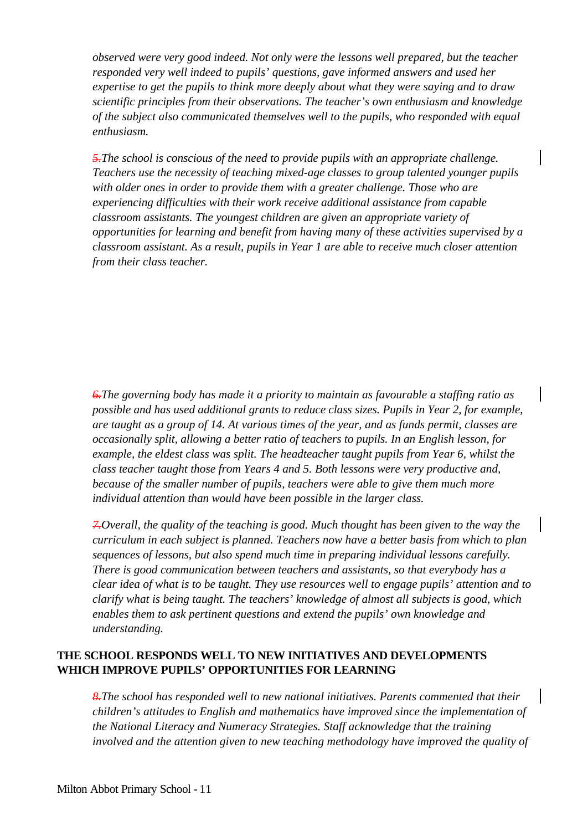*observed were very good indeed. Not only were the lessons well prepared, but the teacher responded very well indeed to pupils' questions, gave informed answers and used her expertise to get the pupils to think more deeply about what they were saying and to draw scientific principles from their observations. The teacher's own enthusiasm and knowledge of the subject also communicated themselves well to the pupils, who responded with equal enthusiasm.*

*5.The school is conscious of the need to provide pupils with an appropriate challenge. Teachers use the necessity of teaching mixed-age classes to group talented younger pupils with older ones in order to provide them with a greater challenge. Those who are experiencing difficulties with their work receive additional assistance from capable classroom assistants. The youngest children are given an appropriate variety of opportunities for learning and benefit from having many of these activities supervised by a classroom assistant. As a result, pupils in Year 1 are able to receive much closer attention from their class teacher.*

*6.The governing body has made it a priority to maintain as favourable a staffing ratio as possible and has used additional grants to reduce class sizes. Pupils in Year 2, for example, are taught as a group of 14. At various times of the year, and as funds permit, classes are occasionally split, allowing a better ratio of teachers to pupils. In an English lesson, for example, the eldest class was split. The headteacher taught pupils from Year 6, whilst the class teacher taught those from Years 4 and 5. Both lessons were very productive and, because of the smaller number of pupils, teachers were able to give them much more individual attention than would have been possible in the larger class.*

*7.Overall, the quality of the teaching is good. Much thought has been given to the way the curriculum in each subject is planned. Teachers now have a better basis from which to plan sequences of lessons, but also spend much time in preparing individual lessons carefully. There is good communication between teachers and assistants, so that everybody has a clear idea of what is to be taught. They use resources well to engage pupils' attention and to clarify what is being taught. The teachers' knowledge of almost all subjects is good, which enables them to ask pertinent questions and extend the pupils' own knowledge and understanding.*

## **THE SCHOOL RESPONDS WELL TO NEW INITIATIVES AND DEVELOPMENTS WHICH IMPROVE PUPILS' OPPORTUNITIES FOR LEARNING**

*8.The school has responded well to new national initiatives. Parents commented that their children's attitudes to English and mathematics have improved since the implementation of the National Literacy and Numeracy Strategies. Staff acknowledge that the training involved and the attention given to new teaching methodology have improved the quality of*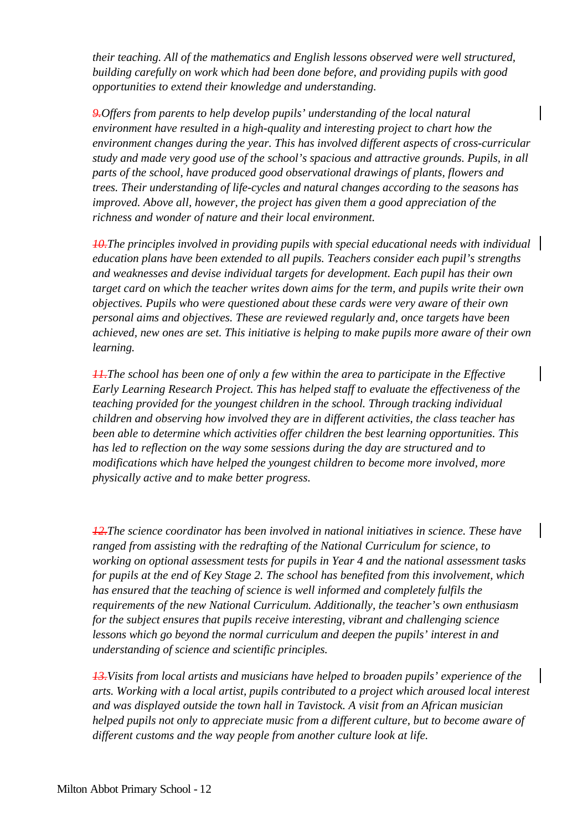*their teaching. All of the mathematics and English lessons observed were well structured, building carefully on work which had been done before, and providing pupils with good opportunities to extend their knowledge and understanding.*

*9.Offers from parents to help develop pupils' understanding of the local natural environment have resulted in a high-quality and interesting project to chart how the environment changes during the year. This has involved different aspects of cross-curricular study and made very good use of the school's spacious and attractive grounds. Pupils, in all parts of the school, have produced good observational drawings of plants, flowers and trees. Their understanding of life-cycles and natural changes according to the seasons has improved. Above all, however, the project has given them a good appreciation of the richness and wonder of nature and their local environment.*

*10.The principles involved in providing pupils with special educational needs with individual education plans have been extended to all pupils. Teachers consider each pupil's strengths and weaknesses and devise individual targets for development. Each pupil has their own target card on which the teacher writes down aims for the term, and pupils write their own objectives. Pupils who were questioned about these cards were very aware of their own personal aims and objectives. These are reviewed regularly and, once targets have been achieved, new ones are set. This initiative is helping to make pupils more aware of their own learning.*

*11.The school has been one of only a few within the area to participate in the Effective Early Learning Research Project. This has helped staff to evaluate the effectiveness of the teaching provided for the youngest children in the school. Through tracking individual children and observing how involved they are in different activities, the class teacher has been able to determine which activities offer children the best learning opportunities. This has led to reflection on the way some sessions during the day are structured and to modifications which have helped the youngest children to become more involved, more physically active and to make better progress.*

*12.The science coordinator has been involved in national initiatives in science. These have ranged from assisting with the redrafting of the National Curriculum for science, to working on optional assessment tests for pupils in Year 4 and the national assessment tasks for pupils at the end of Key Stage 2. The school has benefited from this involvement, which has ensured that the teaching of science is well informed and completely fulfils the requirements of the new National Curriculum. Additionally, the teacher's own enthusiasm for the subject ensures that pupils receive interesting, vibrant and challenging science lessons which go beyond the normal curriculum and deepen the pupils' interest in and understanding of science and scientific principles.*

*13.Visits from local artists and musicians have helped to broaden pupils' experience of the arts. Working with a local artist, pupils contributed to a project which aroused local interest and was displayed outside the town hall in Tavistock. A visit from an African musician helped pupils not only to appreciate music from a different culture, but to become aware of different customs and the way people from another culture look at life.*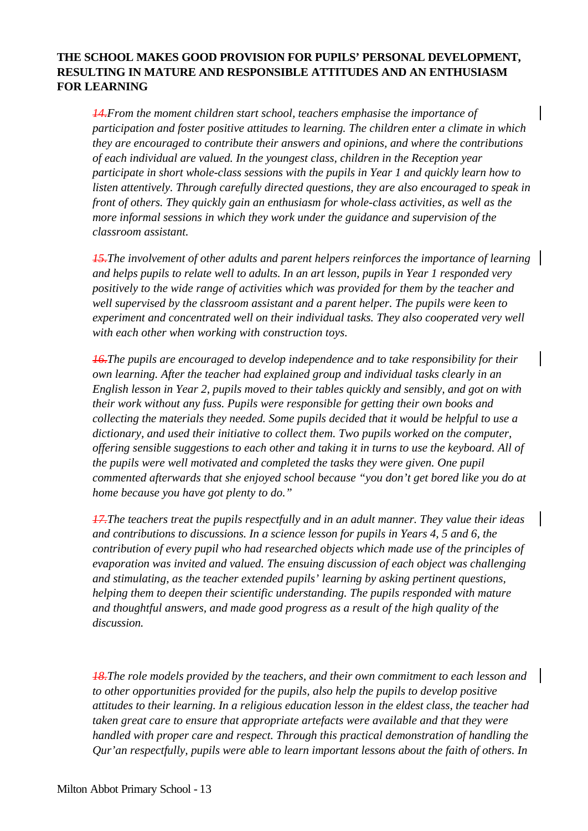## **THE SCHOOL MAKES GOOD PROVISION FOR PUPILS' PERSONAL DEVELOPMENT, RESULTING IN MATURE AND RESPONSIBLE ATTITUDES AND AN ENTHUSIASM FOR LEARNING**

*14.From the moment children start school, teachers emphasise the importance of participation and foster positive attitudes to learning. The children enter a climate in which they are encouraged to contribute their answers and opinions, and where the contributions of each individual are valued. In the youngest class, children in the Reception year participate in short whole-class sessions with the pupils in Year 1 and quickly learn how to listen attentively. Through carefully directed questions, they are also encouraged to speak in front of others. They quickly gain an enthusiasm for whole-class activities, as well as the more informal sessions in which they work under the guidance and supervision of the classroom assistant.*

*15.The involvement of other adults and parent helpers reinforces the importance of learning and helps pupils to relate well to adults. In an art lesson, pupils in Year 1 responded very positively to the wide range of activities which was provided for them by the teacher and well supervised by the classroom assistant and a parent helper. The pupils were keen to experiment and concentrated well on their individual tasks. They also cooperated very well with each other when working with construction toys.*

*16.The pupils are encouraged to develop independence and to take responsibility for their own learning. After the teacher had explained group and individual tasks clearly in an English lesson in Year 2, pupils moved to their tables quickly and sensibly, and got on with their work without any fuss. Pupils were responsible for getting their own books and collecting the materials they needed. Some pupils decided that it would be helpful to use a dictionary, and used their initiative to collect them. Two pupils worked on the computer, offering sensible suggestions to each other and taking it in turns to use the keyboard. All of the pupils were well motivated and completed the tasks they were given. One pupil commented afterwards that she enjoyed school because "you don't get bored like you do at home because you have got plenty to do."*

*17.The teachers treat the pupils respectfully and in an adult manner. They value their ideas and contributions to discussions. In a science lesson for pupils in Years 4, 5 and 6, the contribution of every pupil who had researched objects which made use of the principles of evaporation was invited and valued. The ensuing discussion of each object was challenging and stimulating, as the teacher extended pupils' learning by asking pertinent questions, helping them to deepen their scientific understanding. The pupils responded with mature and thoughtful answers, and made good progress as a result of the high quality of the discussion.*

*18.The role models provided by the teachers, and their own commitment to each lesson and to other opportunities provided for the pupils, also help the pupils to develop positive attitudes to their learning. In a religious education lesson in the eldest class, the teacher had taken great care to ensure that appropriate artefacts were available and that they were handled with proper care and respect. Through this practical demonstration of handling the Qur'an respectfully, pupils were able to learn important lessons about the faith of others. In*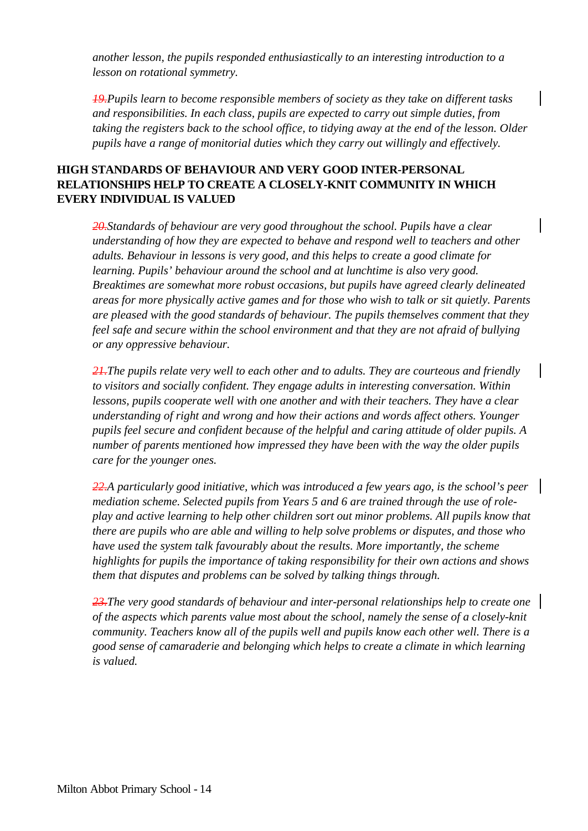*another lesson, the pupils responded enthusiastically to an interesting introduction to a lesson on rotational symmetry.*

*19.Pupils learn to become responsible members of society as they take on different tasks and responsibilities. In each class, pupils are expected to carry out simple duties, from taking the registers back to the school office, to tidying away at the end of the lesson. Older pupils have a range of monitorial duties which they carry out willingly and effectively.*

## **HIGH STANDARDS OF BEHAVIOUR AND VERY GOOD INTER-PERSONAL RELATIONSHIPS HELP TO CREATE A CLOSELY-KNIT COMMUNITY IN WHICH EVERY INDIVIDUAL IS VALUED**

*20.Standards of behaviour are very good throughout the school. Pupils have a clear understanding of how they are expected to behave and respond well to teachers and other adults. Behaviour in lessons is very good, and this helps to create a good climate for learning. Pupils' behaviour around the school and at lunchtime is also very good. Breaktimes are somewhat more robust occasions, but pupils have agreed clearly delineated areas for more physically active games and for those who wish to talk or sit quietly. Parents are pleased with the good standards of behaviour. The pupils themselves comment that they feel safe and secure within the school environment and that they are not afraid of bullying or any oppressive behaviour.*

*21.The pupils relate very well to each other and to adults. They are courteous and friendly to visitors and socially confident. They engage adults in interesting conversation. Within lessons, pupils cooperate well with one another and with their teachers. They have a clear understanding of right and wrong and how their actions and words affect others. Younger pupils feel secure and confident because of the helpful and caring attitude of older pupils. A number of parents mentioned how impressed they have been with the way the older pupils care for the younger ones.*

*22.A particularly good initiative, which was introduced a few years ago, is the school's peer mediation scheme. Selected pupils from Years 5 and 6 are trained through the use of roleplay and active learning to help other children sort out minor problems. All pupils know that there are pupils who are able and willing to help solve problems or disputes, and those who have used the system talk favourably about the results. More importantly, the scheme highlights for pupils the importance of taking responsibility for their own actions and shows them that disputes and problems can be solved by talking things through.*

*23.The very good standards of behaviour and inter-personal relationships help to create one of the aspects which parents value most about the school, namely the sense of a closely-knit community. Teachers know all of the pupils well and pupils know each other well. There is a good sense of camaraderie and belonging which helps to create a climate in which learning is valued.*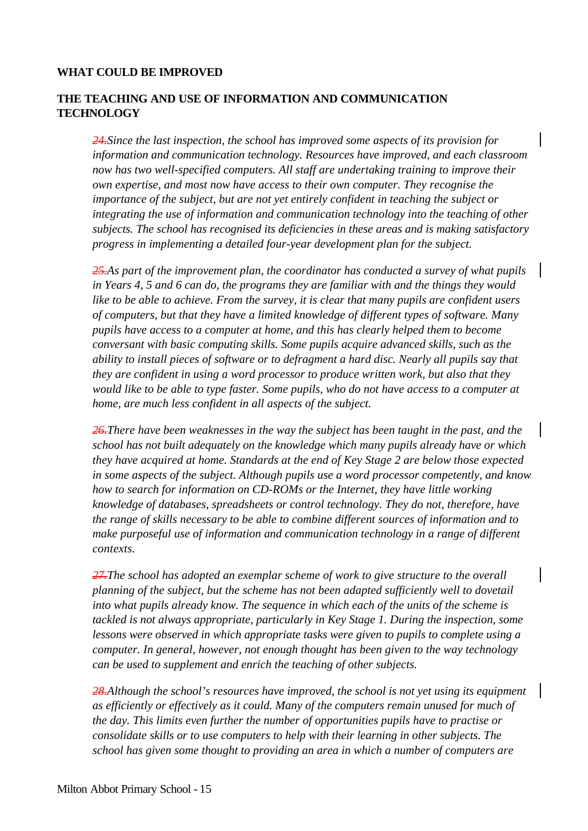### **WHAT COULD BE IMPROVED**

## **THE TEACHING AND USE OF INFORMATION AND COMMUNICATION TECHNOLOGY**

*24.Since the last inspection, the school has improved some aspects of its provision for information and communication technology. Resources have improved, and each classroom now has two well-specified computers. All staff are undertaking training to improve their own expertise, and most now have access to their own computer. They recognise the importance of the subject, but are not yet entirely confident in teaching the subject or integrating the use of information and communication technology into the teaching of other subjects. The school has recognised its deficiencies in these areas and is making satisfactory progress in implementing a detailed four-year development plan for the subject.*

*25.As part of the improvement plan, the coordinator has conducted a survey of what pupils in Years 4, 5 and 6 can do, the programs they are familiar with and the things they would like to be able to achieve. From the survey, it is clear that many pupils are confident users of computers, but that they have a limited knowledge of different types of software. Many pupils have access to a computer at home, and this has clearly helped them to become conversant with basic computing skills. Some pupils acquire advanced skills, such as the ability to install pieces of software or to defragment a hard disc. Nearly all pupils say that they are confident in using a word processor to produce written work, but also that they would like to be able to type faster. Some pupils, who do not have access to a computer at home, are much less confident in all aspects of the subject.*

*26.There have been weaknesses in the way the subject has been taught in the past, and the school has not built adequately on the knowledge which many pupils already have or which they have acquired at home. Standards at the end of Key Stage 2 are below those expected in some aspects of the subject. Although pupils use a word processor competently, and know how to search for information on CD-ROMs or the Internet, they have little working knowledge of databases, spreadsheets or control technology. They do not, therefore, have the range of skills necessary to be able to combine different sources of information and to make purposeful use of information and communication technology in a range of different contexts.*

*27.The school has adopted an exemplar scheme of work to give structure to the overall planning of the subject, but the scheme has not been adapted sufficiently well to dovetail into what pupils already know. The sequence in which each of the units of the scheme is tackled is not always appropriate, particularly in Key Stage 1. During the inspection, some lessons were observed in which appropriate tasks were given to pupils to complete using a computer. In general, however, not enough thought has been given to the way technology can be used to supplement and enrich the teaching of other subjects.*

*28.Although the school's resources have improved, the school is not yet using its equipment as efficiently or effectively as it could. Many of the computers remain unused for much of the day. This limits even further the number of opportunities pupils have to practise or consolidate skills or to use computers to help with their learning in other subjects. The school has given some thought to providing an area in which a number of computers are*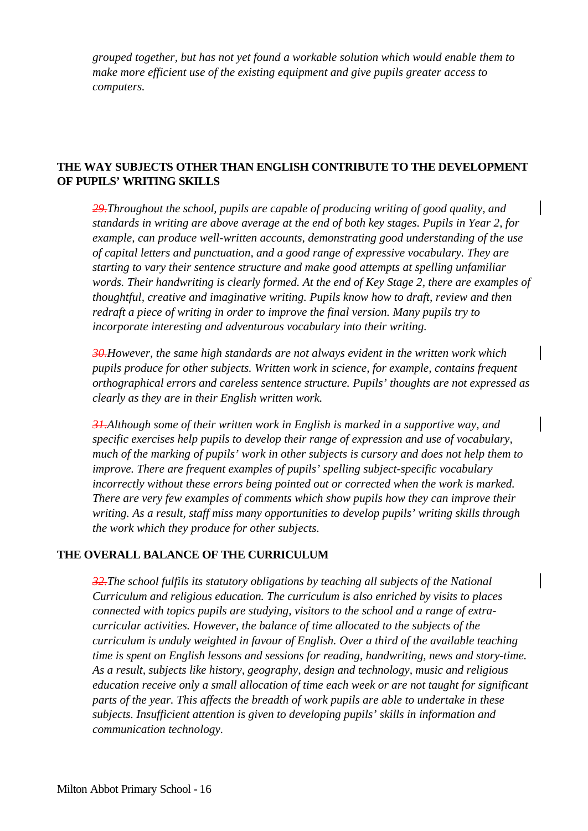*grouped together, but has not yet found a workable solution which would enable them to make more efficient use of the existing equipment and give pupils greater access to computers.*

## **THE WAY SUBJECTS OTHER THAN ENGLISH CONTRIBUTE TO THE DEVELOPMENT OF PUPILS' WRITING SKILLS**

*29.Throughout the school, pupils are capable of producing writing of good quality, and standards in writing are above average at the end of both key stages. Pupils in Year 2, for example, can produce well-written accounts, demonstrating good understanding of the use of capital letters and punctuation, and a good range of expressive vocabulary. They are starting to vary their sentence structure and make good attempts at spelling unfamiliar words. Their handwriting is clearly formed. At the end of Key Stage 2, there are examples of thoughtful, creative and imaginative writing. Pupils know how to draft, review and then redraft a piece of writing in order to improve the final version. Many pupils try to incorporate interesting and adventurous vocabulary into their writing.*

*30.However, the same high standards are not always evident in the written work which pupils produce for other subjects. Written work in science, for example, contains frequent orthographical errors and careless sentence structure. Pupils' thoughts are not expressed as clearly as they are in their English written work.*

*31.Although some of their written work in English is marked in a supportive way, and specific exercises help pupils to develop their range of expression and use of vocabulary, much of the marking of pupils' work in other subjects is cursory and does not help them to improve. There are frequent examples of pupils' spelling subject-specific vocabulary incorrectly without these errors being pointed out or corrected when the work is marked. There are very few examples of comments which show pupils how they can improve their writing. As a result, staff miss many opportunities to develop pupils' writing skills through the work which they produce for other subjects.*

## **THE OVERALL BALANCE OF THE CURRICULUM**

*32.The school fulfils its statutory obligations by teaching all subjects of the National Curriculum and religious education. The curriculum is also enriched by visits to places connected with topics pupils are studying, visitors to the school and a range of extracurricular activities. However, the balance of time allocated to the subjects of the curriculum is unduly weighted in favour of English. Over a third of the available teaching time is spent on English lessons and sessions for reading, handwriting, news and story-time. As a result, subjects like history, geography, design and technology, music and religious education receive only a small allocation of time each week or are not taught for significant parts of the year. This affects the breadth of work pupils are able to undertake in these subjects. Insufficient attention is given to developing pupils' skills in information and communication technology.*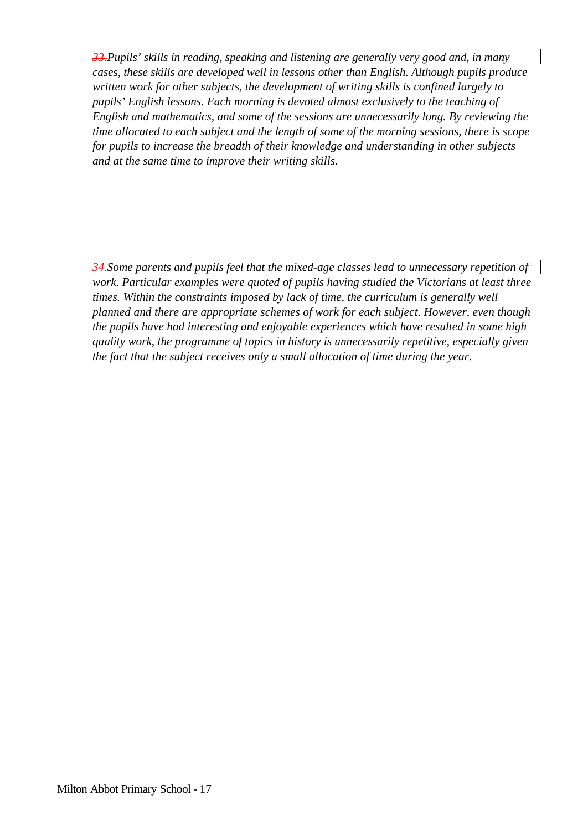*33.Pupils' skills in reading, speaking and listening are generally very good and, in many cases, these skills are developed well in lessons other than English. Although pupils produce written work for other subjects, the development of writing skills is confined largely to pupils' English lessons. Each morning is devoted almost exclusively to the teaching of English and mathematics, and some of the sessions are unnecessarily long. By reviewing the time allocated to each subject and the length of some of the morning sessions, there is scope for pupils to increase the breadth of their knowledge and understanding in other subjects and at the same time to improve their writing skills.*

*34.Some parents and pupils feel that the mixed-age classes lead to unnecessary repetition of work. Particular examples were quoted of pupils having studied the Victorians at least three times. Within the constraints imposed by lack of time, the curriculum is generally well planned and there are appropriate schemes of work for each subject. However, even though the pupils have had interesting and enjoyable experiences which have resulted in some high quality work, the programme of topics in history is unnecessarily repetitive, especially given the fact that the subject receives only a small allocation of time during the year.*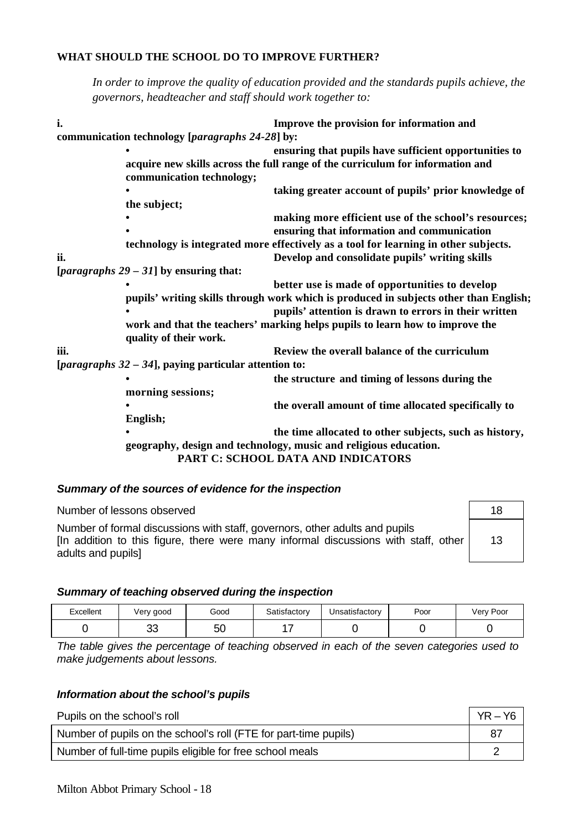#### **WHAT SHOULD THE SCHOOL DO TO IMPROVE FURTHER?**

*In order to improve the quality of education provided and the standards pupils achieve, the governors, headteacher and staff should work together to:*

| i.   |                                                       | Improve the provision for information and                                             |  |
|------|-------------------------------------------------------|---------------------------------------------------------------------------------------|--|
|      | communication technology [paragraphs 24-28] by:       |                                                                                       |  |
|      |                                                       | ensuring that pupils have sufficient opportunities to                                 |  |
|      |                                                       | acquire new skills across the full range of the curriculum for information and        |  |
|      | communication technology;                             |                                                                                       |  |
|      |                                                       | taking greater account of pupils' prior knowledge of                                  |  |
|      | the subject;                                          |                                                                                       |  |
|      |                                                       | making more efficient use of the school's resources;                                  |  |
|      |                                                       | ensuring that information and communication                                           |  |
|      |                                                       | technology is integrated more effectively as a tool for learning in other subjects.   |  |
| ii.  |                                                       | Develop and consolidate pupils' writing skills                                        |  |
|      | [ <i>paragraphs</i> $29 - 31$ ] by ensuring that:     |                                                                                       |  |
|      |                                                       | better use is made of opportunities to develop                                        |  |
|      |                                                       | pupils' writing skills through work which is produced in subjects other than English; |  |
|      |                                                       | pupils' attention is drawn to errors in their written                                 |  |
|      |                                                       | work and that the teachers' marking helps pupils to learn how to improve the          |  |
|      | quality of their work.                                |                                                                                       |  |
| iii. |                                                       | Review the overall balance of the curriculum                                          |  |
|      | [paragraphs 32 - 34], paying particular attention to: |                                                                                       |  |
|      |                                                       | the structure and timing of lessons during the                                        |  |
|      | morning sessions;                                     |                                                                                       |  |
|      |                                                       | the overall amount of time allocated specifically to                                  |  |
|      | English;                                              |                                                                                       |  |
|      |                                                       | the time allocated to other subjects, such as history,                                |  |
|      |                                                       | geography, design and technology, music and religious education.                      |  |
|      |                                                       | PART C: SCHOOL DATA AND INDICATORS                                                    |  |
|      |                                                       |                                                                                       |  |

### *Summary of the sources of evidence for the inspection*

| Number of lessons observed                                                                                                                                                               | 18 |
|------------------------------------------------------------------------------------------------------------------------------------------------------------------------------------------|----|
| Number of formal discussions with staff, governors, other adults and pupils<br>[In addition to this figure, there were many informal discussions with staff, other<br>adults and pupils] | 13 |

#### *Summary of teaching observed during the inspection*

| Excellent | /ery good | Good | ۔atisfactorv | Jnsatisfactorv | Poor | Very Poor |
|-----------|-----------|------|--------------|----------------|------|-----------|
|           | ◡         | 50   | . .          |                |      |           |

*The table gives the percentage of teaching observed in each of the seven categories used to make judgements about lessons.*

#### *Information about the school's pupils*

| Pupils on the school's roll                                      | $YR - Y6$ |
|------------------------------------------------------------------|-----------|
| Number of pupils on the school's roll (FTE for part-time pupils) | 87        |
| Number of full-time pupils eligible for free school meals        |           |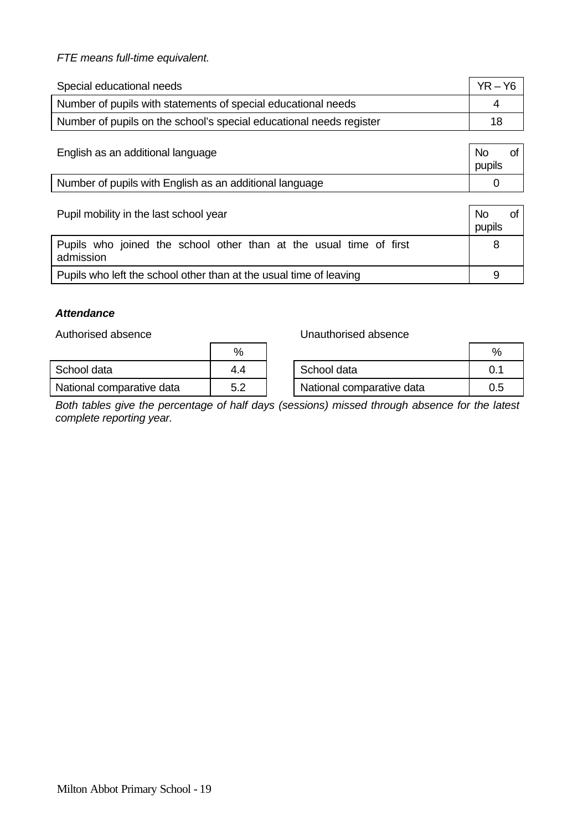## *FTE means full-time equivalent.*

| Special educational needs                                           | $YR - Y6$ |
|---------------------------------------------------------------------|-----------|
| Number of pupils with statements of special educational needs       |           |
| Number of pupils on the school's special educational needs register | 18        |

| English as an additional language                       | No<br>pupils |  |
|---------------------------------------------------------|--------------|--|
| Number of pupils with English as an additional language |              |  |

| Pupil mobility in the last school year                                          | <b>No</b><br>pupils |
|---------------------------------------------------------------------------------|---------------------|
| Pupils who joined the school other than at the usual time of first<br>admission | 8                   |
| Pupils who left the school other than at the usual time of leaving              | 9                   |

## *Attendance*

Authorised absence **Unauthorised** absence

|                           | %   |                           | $\%$ |
|---------------------------|-----|---------------------------|------|
| School data               | 4.4 | School data               | 0.   |
| National comparative data | 5.2 | National comparative data | 0.5  |

*Both tables give the percentage of half days (sessions) missed through absence for the latest complete reporting year.*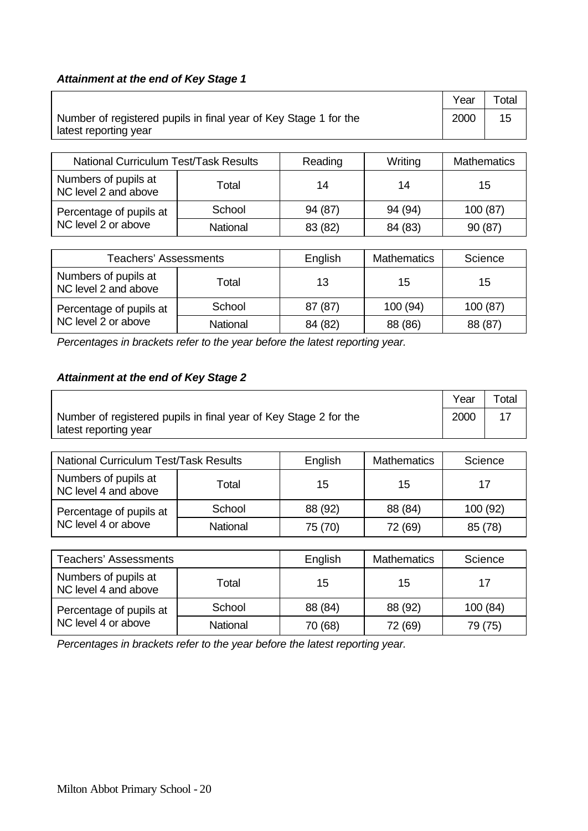## *Attainment at the end of Key Stage 1*

|                                                                                           | Year | Total |
|-------------------------------------------------------------------------------------------|------|-------|
| Number of registered pupils in final year of Key Stage 1 for the<br>latest reporting year | 2000 | 15    |

| <b>National Curriculum Test/Task Results</b> |          | Reading | Writing | <b>Mathematics</b> |
|----------------------------------------------|----------|---------|---------|--------------------|
| Numbers of pupils at<br>NC level 2 and above | Total    | 14      | 14      | 15                 |
| Percentage of pupils at                      | School   | 94 (87) | 94 (94) | 100 (87)           |
| NC level 2 or above                          | National | 83 (82) | 84 (83) | 90 (87)            |

| <b>Teachers' Assessments</b>                 |          | English | <b>Mathematics</b> | Science |
|----------------------------------------------|----------|---------|--------------------|---------|
| Numbers of pupils at<br>NC level 2 and above | Total    | 13      | 15                 | 15      |
| Percentage of pupils at                      | School   | 87 (87) | 100 (94)           | 100(87) |
| NC level 2 or above                          | National | 84 (82) | 88 (86)            | 88 (87) |

*Percentages in brackets refer to the year before the latest reporting year.*

## *Attainment at the end of Key Stage 2*

|                                                                  | Year | Total |
|------------------------------------------------------------------|------|-------|
| Number of registered pupils in final year of Key Stage 2 for the | 2000 |       |
| latest reporting year                                            |      |       |

| <b>National Curriculum Test/Task Results</b> |          | English | <b>Mathematics</b> | Science  |
|----------------------------------------------|----------|---------|--------------------|----------|
| Numbers of pupils at<br>NC level 4 and above | Total    | 15      | 15                 | 17       |
| Percentage of pupils at                      | School   | 88 (92) | 88 (84)            | 100 (92) |
| NC level 4 or above                          | National | 75 (70) | 72 (69)            | 85 (78)  |

| <b>Teachers' Assessments</b>                 | English  | <b>Mathematics</b> | Science  |         |
|----------------------------------------------|----------|--------------------|----------|---------|
| Numbers of pupils at<br>NC level 4 and above | Total    | 15                 | 15<br>17 |         |
| Percentage of pupils at                      | School   | 88 (84)            | 88 (92)  | 100(84) |
| NC level 4 or above                          | National | 70 (68)            | 72 (69)  | 79 (75) |

*Percentages in brackets refer to the year before the latest reporting year.*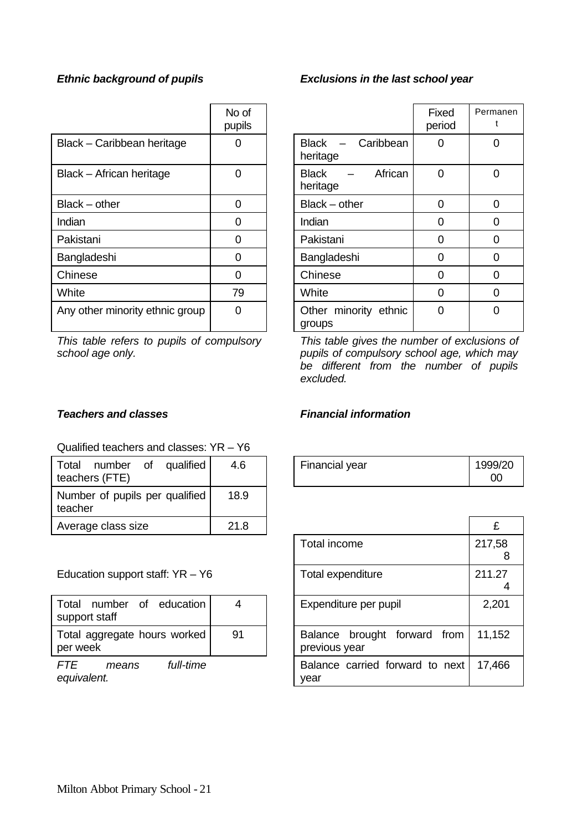|                                 | No of<br>pupils |                                       | Fixed<br>period | Perma<br>t     |
|---------------------------------|-----------------|---------------------------------------|-----------------|----------------|
| Black - Caribbean heritage      |                 | <b>Black</b><br>Caribbean<br>heritage |                 | 0              |
| Black - African heritage        |                 | African<br><b>Black</b><br>heritage   | 0               | 0              |
| $Black - other$                 | 0               | $Black - other$                       | ი               | 0              |
| Indian                          | 0               | Indian                                | 0               | $\overline{0}$ |
| Pakistani                       | 0               | Pakistani                             | 0               | $\overline{0}$ |
| Bangladeshi                     | O               | Bangladeshi                           | O               | $\overline{0}$ |
| Chinese                         | 0               | Chinese                               | ი               | $\overline{0}$ |
| White                           | 79              | White                                 | 0               | $\overline{0}$ |
| Any other minority ethnic group | 0               | Other minority ethnic<br>groups       | 0               | $\overline{0}$ |

*This table refers to pupils of compulsory school age only.*

## *Ethnic background of pupils Exclusions in the last school year*

|                                         | Fixed<br>period | Permanen<br>t |
|-----------------------------------------|-----------------|---------------|
| <b>Black</b><br>- Caribbean<br>heritage |                 | ∩             |
| African<br><b>Black</b><br>heritage     | ∩               | ∩             |
| $Black - other$                         | ი               | 0             |
| Indian                                  | 0               | 0             |
| Pakistani                               | 0               | 0             |
| Bangladeshi                             | 0               | 0             |
| Chinese                                 | 0               | 0             |
| White                                   | ი               | 0             |
| Other minority ethnic<br>groups         | ∩               |               |

*This table gives the number of exclusions of pupils of compulsory school age, which may be different from the number of pupils excluded.*

### Qualified teachers and classes: YR – Y6

| qualified<br>Total<br>number of<br>teachers (FTE) | 4.6  | Financial year | 1999<br>00 |
|---------------------------------------------------|------|----------------|------------|
| Number of pupils per qualified<br>teacher         | 18.9 |                |            |
| Average class size                                | 21.8 |                | £          |

### Education support staff:  $YR - Y6$

| Total number of education<br>support staff |    |  |
|--------------------------------------------|----|--|
| Total aggregate hours worked<br>per week   | 91 |  |

*FTE means full-time equivalent.*

#### *Teachers and classes Financial information*

| 4.6 | Financial year | 1999/20 |
|-----|----------------|---------|
|     |                | OC      |

| :1.8 |                                               | £           |
|------|-----------------------------------------------|-------------|
|      | <b>Total income</b>                           | 217,58<br>8 |
|      | Total expenditure                             | 211.27      |
|      | Expenditure per pupil                         | 2,201       |
| 91   | Balance brought forward from<br>previous year | 11,152      |
|      | Balance carried forward to next<br>vear       | 17,466      |